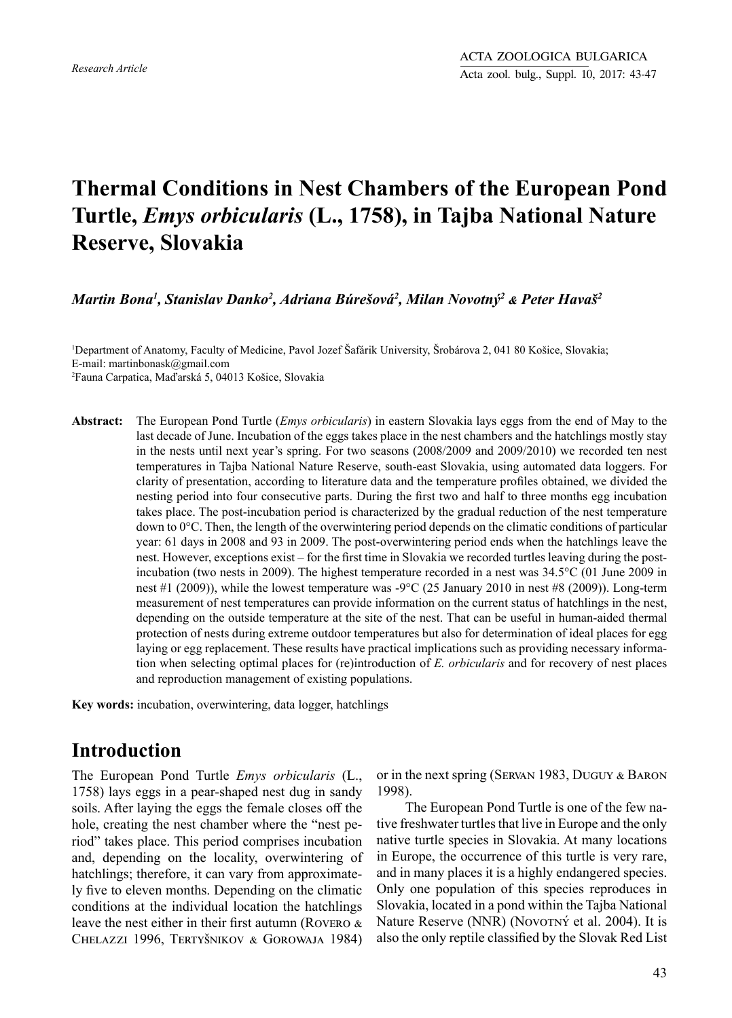# **Thermal Conditions in Nest Chambers of the European Pond Turtle,** *Emys orbicularis* **(L., 1758), in Tajba National Nature Reserve, Slovakia**

*Martin Bona1 , Stanislav Danko2 , Adriana Búrešová2 , Milan Novotný2 & Peter Havaš2*

1 Department of Anatomy, Faculty of Medicine, Pavol Jozef Šafárik University, Šrobárova 2, 041 80 Košice, Slovakia; E-mail: martinbonask@gmail.com 2 Fauna Carpatica, Maďarská 5, 04013 Košice, Slovakia

**Abstract:** The European Pond Turtle (*Emys orbicularis*) in eastern Slovakia lays eggs from the end of May to the last decade of June. Incubation of the eggs takes place in the nest chambers and the hatchlings mostly stay in the nests until next year's spring. For two seasons (2008/2009 and 2009/2010) we recorded ten nest temperatures in Tajba National Nature Reserve, south-east Slovakia, using automated data loggers. For clarity of presentation, according to literature data and the temperature profiles obtained, we divided the nesting period into four consecutive parts. During the first two and half to three months egg incubation takes place. The post-incubation period is characterized by the gradual reduction of the nest temperature down to 0°C. Then, the length of the overwintering period depends on the climatic conditions of particular year: 61 days in 2008 and 93 in 2009. The post-overwintering period ends when the hatchlings leave the nest. However, exceptions exist – for the first time in Slovakia we recorded turtles leaving during the postincubation (two nests in 2009). The highest temperature recorded in a nest was 34.5°C (01 June 2009 in nest #1 (2009)), while the lowest temperature was -9°C (25 January 2010 in nest #8 (2009)). Long-term measurement of nest temperatures can provide information on the current status of hatchlings in the nest, depending on the outside temperature at the site of the nest. That can be useful in human-aided thermal protection of nests during extreme outdoor temperatures but also for determination of ideal places for egg laying or egg replacement. These results have practical implications such as providing necessary information when selecting optimal places for (re)introduction of *E. orbicularis* and for recovery of nest places and reproduction management of existing populations.

**Key words:** incubation, overwintering, data logger, hatchlings

# **Introduction**

The European Pond Turtle *Emys orbicularis* (L., 1758) lays eggs in a pear-shaped nest dug in sandy soils. After laying the eggs the female closes off the hole, creating the nest chamber where the "nest period" takes place. This period comprises incubation and, depending on the locality, overwintering of hatchlings; therefore, it can vary from approximately five to eleven months. Depending on the climatic conditions at the individual location the hatchlings leave the nest either in their first autumn (Rovero & Chelazzi 1996, Tertyšnikov & Gorowaja 1984) or in the next spring (Servan 1983, Duguy & Baron 1998).

The European Pond Turtle is one of the few native freshwater turtles that live in Europe and the only native turtle species in Slovakia. At many locations in Europe, the occurrence of this turtle is very rare, and in many places it is a highly endangered species. Only one population of this species reproduces in Slovakia, located in a pond within the Tajba National Nature Reserve (NNR) (Novorný et al. 2004). It is also the only reptile classified by the Slovak Red List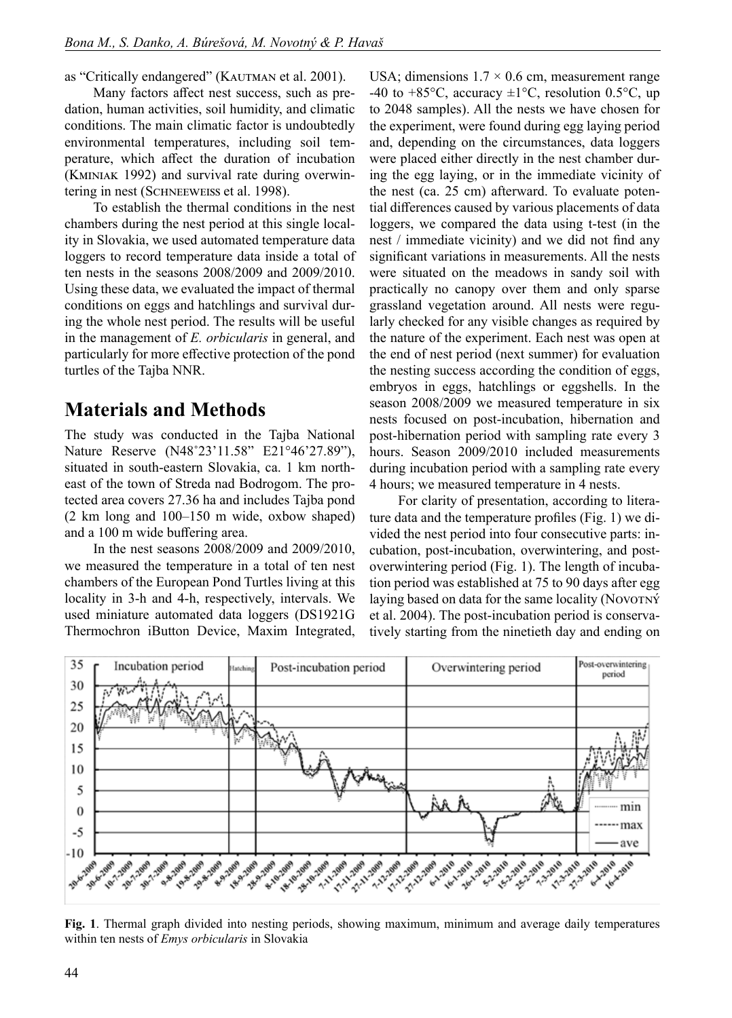as "Critically endangered" (KAUTMAN et al. 2001).

Many factors affect nest success, such as predation, human activities, soil humidity, and climatic conditions. The main climatic factor is undoubtedly environmental temperatures, including soil temperature, which affect the duration of incubation (Kminiak 1992) and survival rate during overwintering in nest (SCHNEEWEISS et al. 1998).

To establish the thermal conditions in the nest chambers during the nest period at this single locality in Slovakia, we used automated temperature data loggers to record temperature data inside a total of ten nests in the seasons 2008/2009 and 2009/2010. Using these data, we evaluated the impact of thermal conditions on eggs and hatchlings and survival during the whole nest period. The results will be useful in the management of *E. orbicularis* in general, and particularly for more effective protection of the pond turtles of the Tajba NNR.

# **Materials and Methods**

The study was conducted in the Tajba National Nature Reserve (N48˚23'11.58" E21°46'27.89"), situated in south-eastern Slovakia, ca. 1 km northeast of the town of Streda nad Bodrogom. The protected area covers 27.36 ha and includes Tajba pond (2 km long and 100–150 m wide, oxbow shaped) and a 100 m wide buffering area.

In the nest seasons 2008/2009 and 2009/2010, we measured the temperature in a total of ten nest chambers of the European Pond Turtles living at this locality in 3-h and 4-h, respectively, intervals. We used miniature automated data loggers (DS1921G Thermochron iButton Device, Maxim Integrated,

USA; dimensions  $1.7 \times 0.6$  cm, measurement range -40 to +85 $\degree$ C, accuracy  $\pm 1\degree$ C, resolution 0.5 $\degree$ C, up to 2048 samples). All the nests we have chosen for the experiment, were found during egg laying period and, depending on the circumstances, data loggers were placed either directly in the nest chamber during the egg laying, or in the immediate vicinity of the nest (ca. 25 cm) afterward. To evaluate potential differences caused by various placements of data loggers, we compared the data using t-test (in the nest / immediate vicinity) and we did not find any significant variations in measurements. All the nests were situated on the meadows in sandy soil with practically no canopy over them and only sparse grassland vegetation around. All nests were regularly checked for any visible changes as required by the nature of the experiment. Each nest was open at the end of nest period (next summer) for evaluation the nesting success according the condition of eggs, embryos in eggs, hatchlings or eggshells. In the season 2008/2009 we measured temperature in six nests focused on post-incubation, hibernation and post-hibernation period with sampling rate every 3 hours. Season 2009/2010 included measurements during incubation period with a sampling rate every 4 hours; we measured temperature in 4 nests.

For clarity of presentation, according to literature data and the temperature profiles (Fig. 1) we divided the nest period into four consecutive parts: incubation, post-incubation, overwintering, and postoverwintering period (Fig. 1). The length of incubation period was established at 75 to 90 days after egg laying based on data for the same locality (NOVOTNÝ et al. 2004). The post-incubation period is conservatively starting from the ninetieth day and ending on



**Fig. 1**. Thermal graph divided into nesting periods, showing maximum, minimum and average daily temperatures within ten nests of *Emys orbicularis* in Slovakia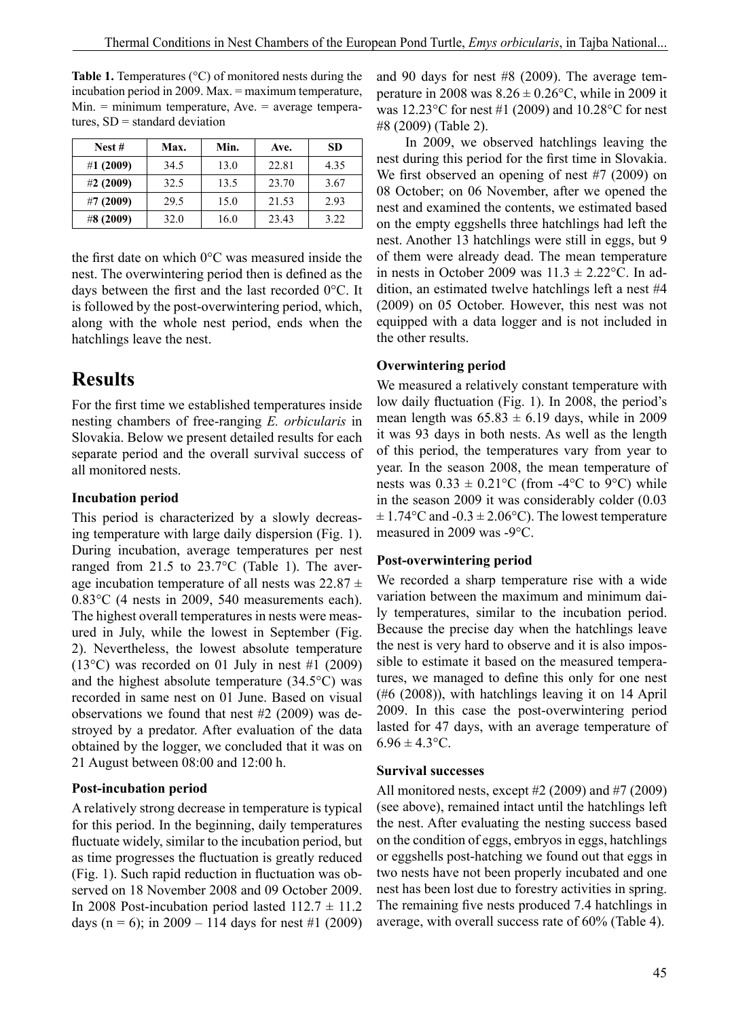| Nest#       | Max. | Min. | Ave.  | SD   |
|-------------|------|------|-------|------|
| #1 $(2009)$ | 34.5 | 13.0 | 22.81 | 4.35 |
| #2(2009)    | 32.5 | 13.5 | 23.70 | 3.67 |
| #7 (2009)   | 29.5 | 15.0 | 21.53 | 2.93 |
| #8 (2009)   | 32.0 | 16.0 | 23.43 | 3.22 |

**Table 1.** Temperatures (°C) of monitored nests during the incubation period in 2009. Max. = maximum temperature, Min. = minimum temperature, Ave. = average temperatures, SD = standard deviation

the first date on which 0°C was measured inside the nest. The overwintering period then is defined as the days between the first and the last recorded 0°C. It is followed by the post-overwintering period, which, along with the whole nest period, ends when the hatchlings leave the nest.

# **Results**

For the first time we established temperatures inside nesting chambers of free-ranging *E. orbicularis* in Slovakia. Below we present detailed results for each separate period and the overall survival success of all monitored nests.

#### **Incubation period**

This period is characterized by a slowly decreasing temperature with large daily dispersion (Fig. 1). During incubation, average temperatures per nest ranged from 21.5 to 23.7°C (Table 1). The average incubation temperature of all nests was  $22.87 \pm$ 0.83°C (4 nests in 2009, 540 measurements each). The highest overall temperatures in nests were measured in July, while the lowest in September (Fig. 2). Nevertheless, the lowest absolute temperature (13°C) was recorded on 01 July in nest #1 (2009) and the highest absolute temperature (34.5°C) was recorded in same nest on 01 June. Based on visual observations we found that nest #2 (2009) was destroyed by a predator. After evaluation of the data obtained by the logger, we concluded that it was on 21 August between 08:00 and 12:00 h.

#### **Post-incubation period**

A relatively strong decrease in temperature is typical for this period. In the beginning, daily temperatures fluctuate widely, similar to the incubation period, but as time progresses the fluctuation is greatly reduced (Fig. 1). Such rapid reduction in fluctuation was observed on 18 November 2008 and 09 October 2009. In 2008 Post-incubation period lasted  $112.7 \pm 11.2$ days (n = 6); in 2009 – 114 days for nest #1 (2009) and 90 days for nest #8 (2009). The average temperature in 2008 was  $8.26 \pm 0.26$ °C, while in 2009 it was 12.23°C for nest #1 (2009) and 10.28°C for nest #8 (2009) (Table 2).

In 2009, we observed hatchlings leaving the nest during this period for the first time in Slovakia. We first observed an opening of nest #7 (2009) on 08 October; on 06 November, after we opened the nest and examined the contents, we estimated based on the empty eggshells three hatchlings had left the nest. Another 13 hatchlings were still in eggs, but 9 of them were already dead. The mean temperature in nests in October 2009 was  $11.3 \pm 2.22$ °C. In addition, an estimated twelve hatchlings left a nest #4 (2009) on 05 October. However, this nest was not equipped with a data logger and is not included in the other results.

#### **Overwintering period**

We measured a relatively constant temperature with low daily fluctuation (Fig. 1). In 2008, the period's mean length was  $65.83 \pm 6.19$  days, while in 2009 it was 93 days in both nests. As well as the length of this period, the temperatures vary from year to year. In the season 2008, the mean temperature of nests was  $0.33 \pm 0.21$ °C (from -4°C to 9°C) while in the season 2009 it was considerably colder (0.03  $\pm$  1.74°C and -0.3  $\pm$  2.06°C). The lowest temperature measured in 2009 was -9°C.

#### **Post-overwintering period**

We recorded a sharp temperature rise with a wide variation between the maximum and minimum daily temperatures, similar to the incubation period. Because the precise day when the hatchlings leave the nest is very hard to observe and it is also impossible to estimate it based on the measured temperatures, we managed to define this only for one nest (#6 (2008)), with hatchlings leaving it on 14 April 2009. In this case the post-overwintering period lasted for 47 days, with an average temperature of  $6.96 \pm 4.3$ °C.

#### **Survival successes**

All monitored nests, except #2 (2009) and #7 (2009) (see above), remained intact until the hatchlings left the nest. After evaluating the nesting success based on the condition of eggs, embryos in eggs, hatchlings or eggshells post-hatching we found out that eggs in two nests have not been properly incubated and one nest has been lost due to forestry activities in spring. The remaining five nests produced 7.4 hatchlings in average, with overall success rate of 60% (Table 4).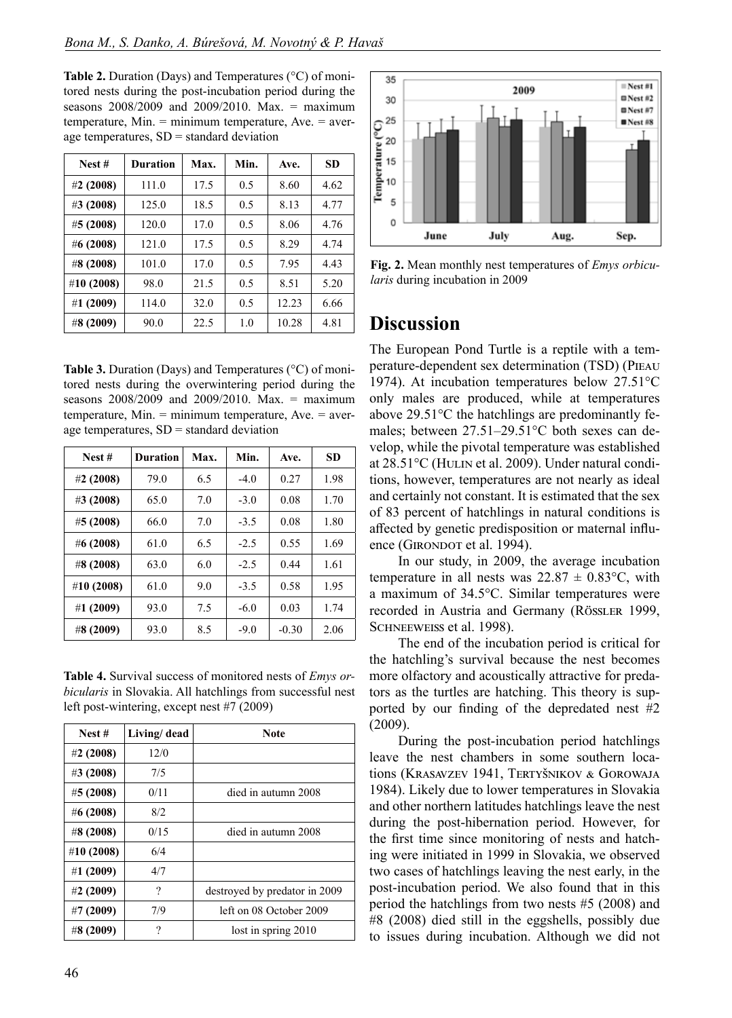**Table 2.** Duration (Days) and Temperatures (°C) of monitored nests during the post-incubation period during the seasons 2008/2009 and 2009/2010. Max. = maximum temperature, Min.  $=$  minimum temperature, Ave.  $=$  average temperatures,  $SD =$  standard deviation

| Nest $#$    | <b>Duration</b> | Max. | Min. | Ave.  | <b>SD</b> |
|-------------|-----------------|------|------|-------|-----------|
| #2 $(2008)$ | 111.0           | 17.5 | 0.5  | 8.60  | 4.62      |
| #3 (2008)   | 125.0           | 18.5 | 0.5  | 8.13  | 4.77      |
| #5 (2008)   | 120.0           | 17.0 | 0.5  | 8.06  | 4.76      |
| #6 (2008)   | 121.0           | 17.5 | 0.5  | 8.29  | 4.74      |
| #8 (2008)   | 101.0           | 17.0 | 0.5  | 7.95  | 4.43      |
| #10 (2008)  | 98.0            | 21.5 | 0.5  | 8.51  | 5.20      |
| #1 (2009)   | 114.0           | 32.0 | 0.5  | 12.23 | 6.66      |
| #8 (2009)   | 90.0            | 22.5 | 1.0  | 10.28 | 4.81      |

**Table 3.** Duration (Days) and Temperatures (°C) of monitored nests during the overwintering period during the seasons 2008/2009 and 2009/2010. Max. = maximum temperature, Min.  $=$  minimum temperature, Ave.  $=$  average temperatures,  $SD =$  standard deviation

| Nest #      | <b>Duration</b> | Max. | Min.   | Ave.    | <b>SD</b> |
|-------------|-----------------|------|--------|---------|-----------|
| #2 $(2008)$ | 79.0            | 6.5  | $-4.0$ | 0.27    | 1.98      |
| #3 (2008)   | 65.0            | 7.0  | $-3.0$ | 0.08    | 1.70      |
| #5 (2008)   | 66.0            | 7.0  | $-3.5$ | 0.08    | 1.80      |
| #6 (2008)   | 61.0            | 6.5  | $-2.5$ | 0.55    | 1.69      |
| #8 $(2008)$ | 63.0            | 6.0  | $-2.5$ | 0.44    | 1.61      |
| #10 (2008)  | 61.0            | 9.0  | $-3.5$ | 0.58    | 1.95      |
| #1 (2009)   | 93.0            | 7.5  | $-6.0$ | 0.03    | 1.74      |
| #8 (2009)   | 93.0            | 8.5  | $-9.0$ | $-0.30$ | 2.06      |

**Table 4.** Survival success of monitored nests of *Emys orbicularis* in Slovakia. All hatchlings from successful nest left post-wintering, except nest #7 (2009)

| Nest #      | Living/ dead | <b>Note</b>                   |
|-------------|--------------|-------------------------------|
| #2 $(2008)$ | 12/0         |                               |
| #3 $(2008)$ | 7/5          |                               |
| #5 $(2008)$ | 0/11         | died in autumn 2008           |
| #6 $(2008)$ | 8/2          |                               |
| #8 (2008)   | 0/15         | died in autumn 2008           |
| #10 (2008)  | 6/4          |                               |
| #1 $(2009)$ | 4/7          |                               |
| #2 $(2009)$ | ?            | destroyed by predator in 2009 |
| #7 (2009)   | 7/9          | left on 08 October 2009       |
| #8 (2009)   | ?            | lost in spring 2010           |



**Fig. 2.** Mean monthly nest temperatures of *Emys orbicularis* during incubation in 2009

### **Discussion**

The European Pond Turtle is a reptile with a temperature-dependent sex determination (TSD) (Pieau 1974). At incubation temperatures below 27.51°C only males are produced, while at temperatures above 29.51°C the hatchlings are predominantly females; between 27.51–29.51°C both sexes can develop, while the pivotal temperature was established at 28.51°C (HULIN et al. 2009). Under natural conditions, however, temperatures are not nearly as ideal and certainly not constant. It is estimated that the sex of 83 percent of hatchlings in natural conditions is affected by genetic predisposition or maternal influence (GIRONDOT et al. 1994).

In our study, in 2009, the average incubation temperature in all nests was  $22.87 \pm 0.83$ °C, with a maximum of 34.5°C. Similar temperatures were recorded in Austria and Germany (Rössler 1999, SCHNEEWEISS et al. 1998).

The end of the incubation period is critical for the hatchling's survival because the nest becomes more olfactory and acoustically attractive for predators as the turtles are hatching. This theory is supported by our finding of the depredated nest #2 (2009).

During the post-incubation period hatchlings leave the nest chambers in some southern locations (Krasavzev 1941, Tertyšnikov & Gorowaja 1984). Likely due to lower temperatures in Slovakia and other northern latitudes hatchlings leave the nest during the post-hibernation period. However, for the first time since monitoring of nests and hatching were initiated in 1999 in Slovakia, we observed two cases of hatchlings leaving the nest early, in the post-incubation period. We also found that in this period the hatchlings from two nests #5 (2008) and #8 (2008) died still in the eggshells, possibly due to issues during incubation. Although we did not